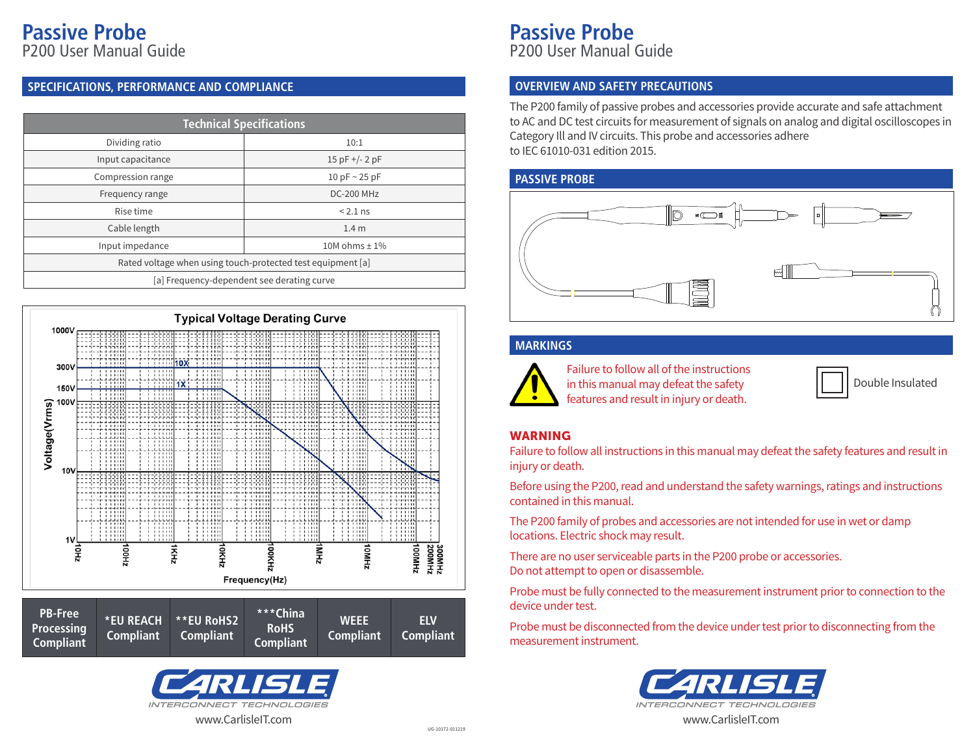# **Passive Probe**

P200 User Manual Guide

### **SPECIFICATIONS, PERFORMANCE AND COMPLIANCE**

| <b>Technical Specifications</b>                             |                    |  |
|-------------------------------------------------------------|--------------------|--|
| Dividing ratio                                              | 10:1               |  |
| Input capacitance                                           | $15$ pF +/- 2 pF   |  |
| Compression range                                           | 10 pF $\sim$ 25 pF |  |
| Frequency range                                             | <b>DC-200 MHz</b>  |  |
| Rise time                                                   | $< 2.1$ ns         |  |
| Cable length                                                | 1.4 <sub>m</sub>   |  |
| Input impedance                                             | 10M ohms $\pm$ 1%  |  |
| Rated voltage when using touch-protected test equipment [a] |                    |  |
| [a] Frequency-dependent see derating curve                  |                    |  |







**Passive Probe** P200 User Manual Guide

#### **OVERVIEW AND SAFETY PRECAUTIONS**

The P200 family of passive probes and accessories provide accurate and safe attachment to AC and DC test circuits for measurement of signals on analog and digital oscilloscopes in Category Ill and IV circuits. This probe and accessories adhere to IEC 61010-031 edition 2015.

#### **PASSIVE PROBE**



#### **MARKINGS**



Failure to follow all of the instructions in this manual may defeat the safety features and result in injury or death.

|  | Double Insulated |
|--|------------------|
|--|------------------|

#### WARNING

Failure to follow all instructions in this manual may defeat the safety features and result in injury or death.

Before using the P200, read and understand the safety warnings, ratings and instructions contained in this manual.

The P200 family of probes and accessories are not intended for use in wet or damp locations. Electric shock may result.

There are no user serviceable parts in the P200 probe or accessories. Do not attempt to open or disassemble.

Probe must be fully connected to the measurement instrument prior to connection to the device under test.

Probe must be disconnected from the device under test prior to disconnecting from the measurement instrument.